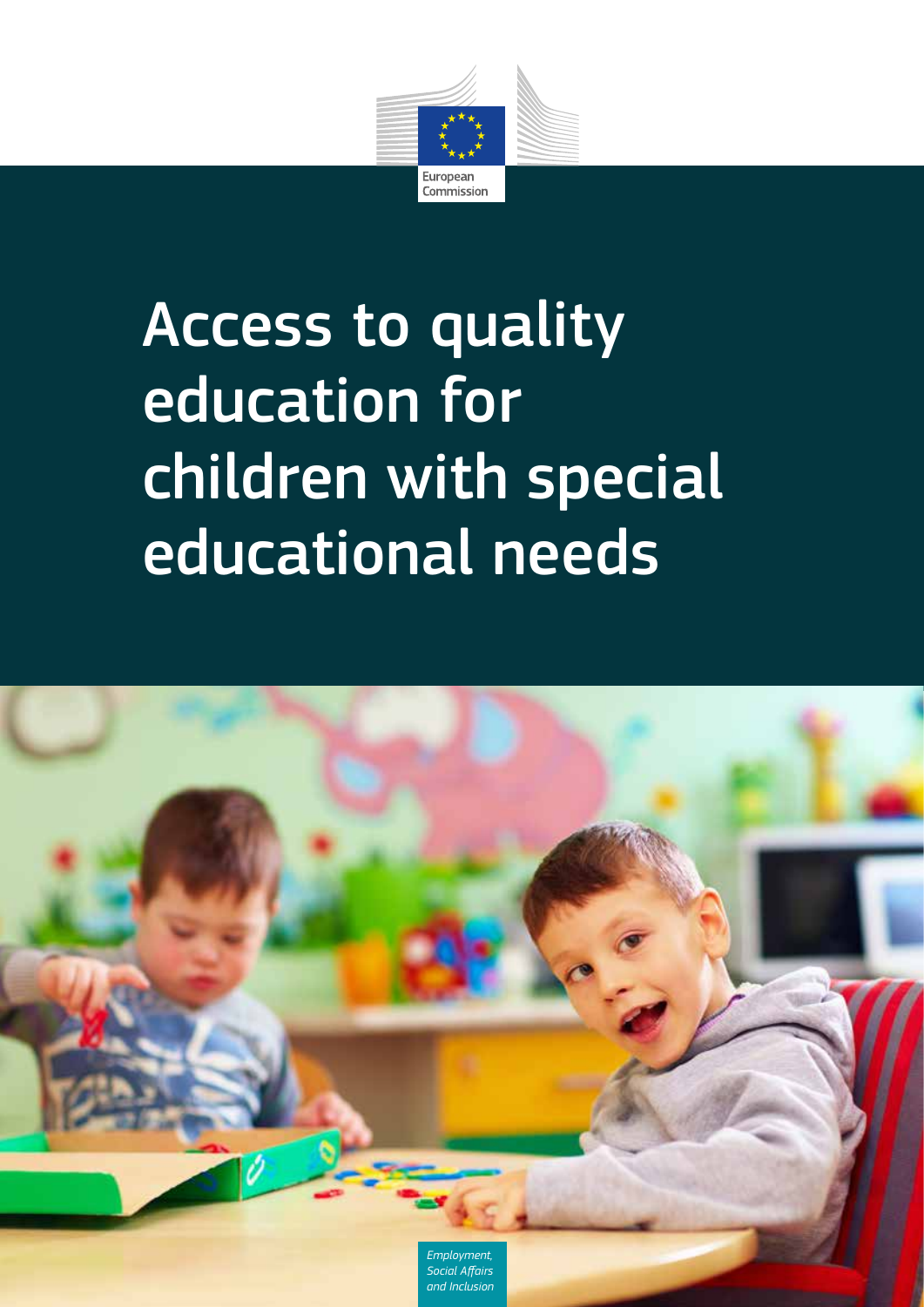

# Access to quality education for children with special educational needs

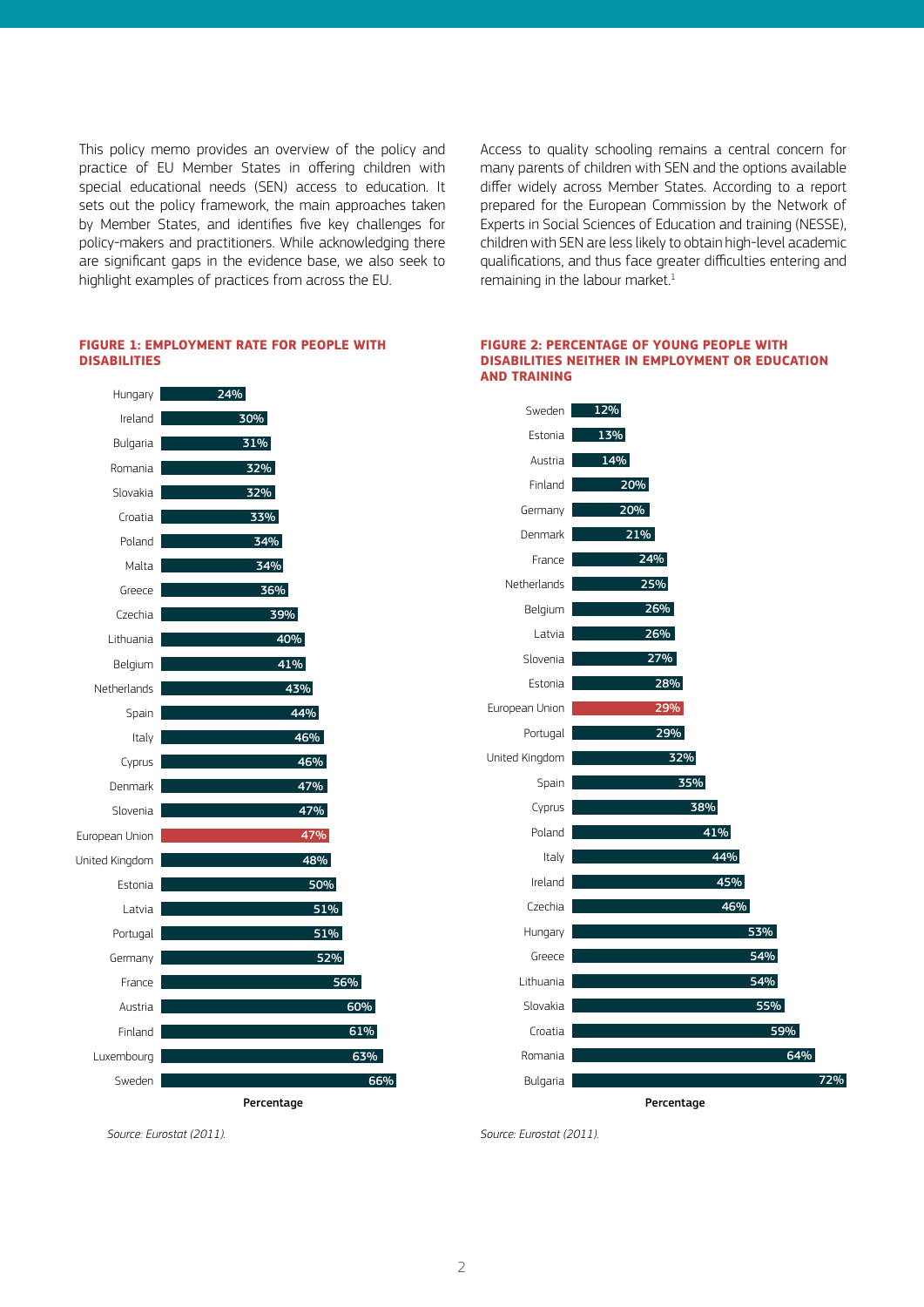This policy memo provides an overview of the policy and practice of EU Member States in offering children with special educational needs (SEN) access to education. It sets out the policy framework, the main approaches taken by Member States, and identifies five key challenges for policy-makers and practitioners. While acknowledging there are significant gaps in the evidence base, we also seek to highlight examples of practices from across the EU.

Access to quality schooling remains a central concern for many parents of children with SEN and the options available differ widely across Member States. According to a report prepared for the European Commission by the Network of Experts in Social Sciences of Education and training (NESSE), children with SEN are less likely to obtain high-level academic qualifications, and thus face greater difficulties entering and remaining in the labour market.<sup>1</sup>

#### **FIGURE 1: EMPLOYMENT RATE FOR PEOPLE WITH DISABILITIES**



#### **FIGURE 2: PERCENTAGE OF YOUNG PEOPLE WITH DISABILITIES NEITHER IN EMPLOYMENT OR EDUCATION AND TRAINING**



*Source: Eurostat (2011).* 

*Source: Eurostat (2011).*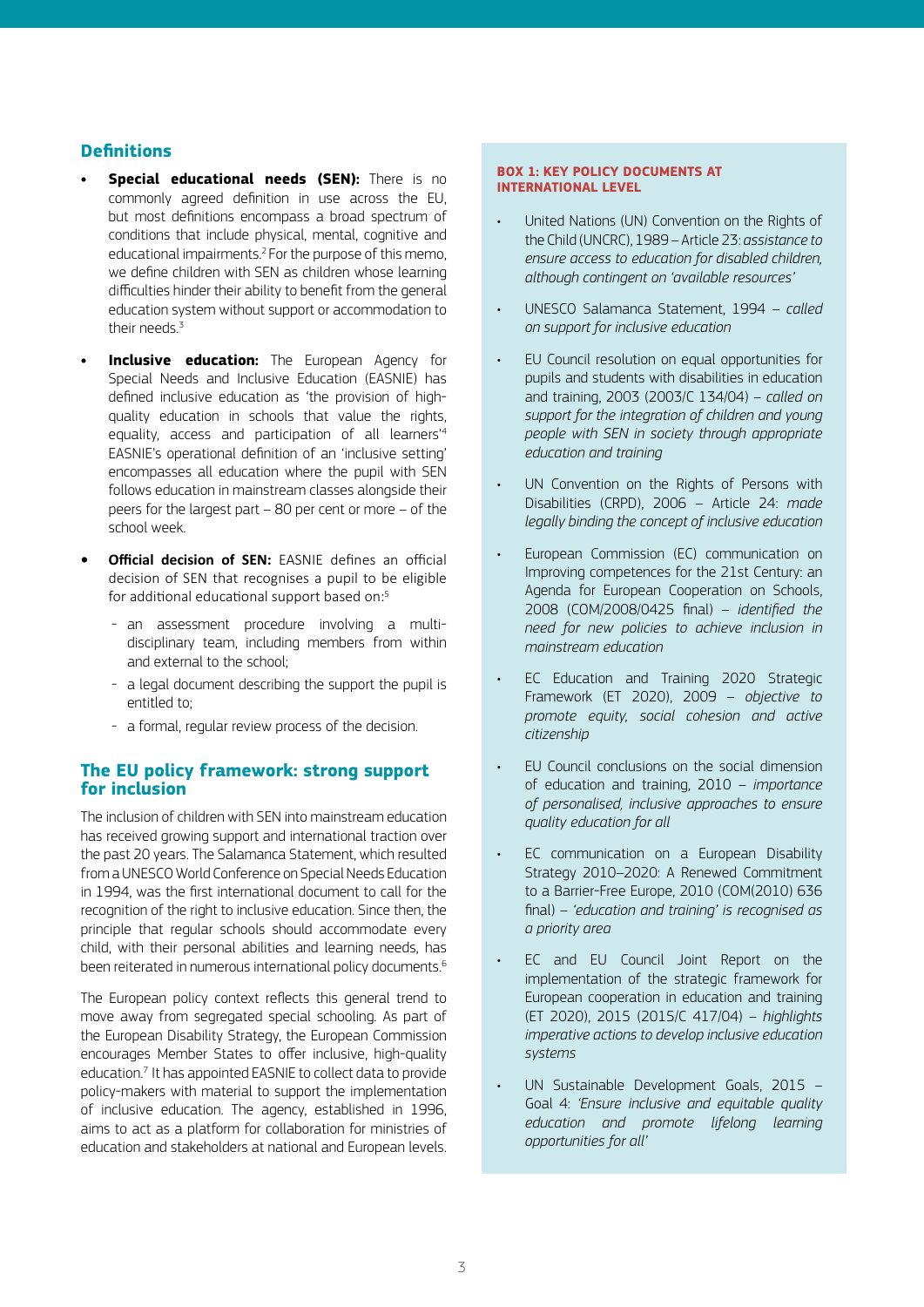# **Definitions**

- **Special educational needs (SEN):** There is no commonly agreed definition in use across the EU, but most definitions encompass a broad spectrum of conditions that include physical, mental, cognitive and educational impairments.2 For the purpose of this memo, we define children with SEN as children whose learning difficulties hinder their ability to benefit from the general education system without support or accommodation to their needs. $3$
- **Inclusive education:** The European Agency for Special Needs and Inclusive Education (EASNIE) has defined inclusive education as 'the provision of highquality education in schools that value the rights, equality, access and participation of all learners'4 EASNIE's operational definition of an 'inclusive setting' encompasses all education where the pupil with SEN follows education in mainstream classes alongside their peers for the largest part – 80 per cent or more – of the school week.
- **• Official decision of SEN:** EASNIE defines an official decision of SEN that recognises a pupil to be eligible for additional educational support based on:<sup>5</sup>
	- an assessment procedure involving a multidisciplinary team, including members from within and external to the school;
	- a legal document describing the support the pupil is entitled to;
	- a formal, regular review process of the decision.

# **The EU policy framework: strong support for inclusion**

The inclusion of children with SEN into mainstream education has received growing support and international traction over the past 20 years. The Salamanca Statement, which resulted from a UNESCO World Conference on Special Needs Education in 1994, was the first international document to call for the recognition of the right to inclusive education. Since then, the principle that regular schools should accommodate every child, with their personal abilities and learning needs, has been reiterated in numerous international policy documents.<sup>6</sup>

The European policy context reflects this general trend to move away from segregated special schooling. As part of the European Disability Strategy, the European Commission encourages Member States to offer inclusive, high-quality education.<sup>7</sup> It has appointed EASNIE to collect data to provide policy-makers with material to support the implementation of inclusive education. The agency, established in 1996, aims to act as a platform for collaboration for ministries of education and stakeholders at national and European levels.

#### **BOX 1: KEY POLICY DOCUMENTS AT INTERNATIONAL LEVEL**

- United Nations (UN) Convention on the Rights of the Child (UNCRC), 1989 – Article 23: *assistance to ensure access to education for disabled children, although contingent on 'available resources'*
- UNESCO Salamanca Statement, 1994 *called on support for inclusive education*
- EU Council resolution on equal opportunities for pupils and students with disabilities in education and training, 2003 (2003/C 134/04) – *called on support for the integration of children and young people with SEN in society through appropriate education and training*
- UN Convention on the Rights of Persons with Disabilities (CRPD), 2006 – Article 24: *made legally binding the concept of inclusive education*
- European Commission (EC) communication on Improving competences for the 21st Century: an Agenda for European Cooperation on Schools, 2008 (COM/2008/0425 final) – *identified the need for new policies to achieve inclusion in mainstream education*
- EC Education and Training 2020 Strategic Framework (ET 2020), 2009 – *objective to promote equity, social cohesion and active citizenship*
- EU Council conclusions on the social dimension of education and training, 2010 – *importance of personalised, inclusive approaches to ensure quality education for all*
- EC communication on a European Disability Strategy 2010–2020: A Renewed Commitment to a Barrier-Free Europe, 2010 (COM(2010) 636 final) – *'education and training' is recognised as a priority area*
- EC and EU Council Joint Report on the implementation of the strategic framework for European cooperation in education and training (ET 2020), 2015 (2015/C 417/04) – *highlights imperative actions to develop inclusive education systems*
- UN Sustainable Development Goals, 2015 Goal 4: *'Ensure inclusive and equitable quality education and promote lifelong learning opportunities for all'*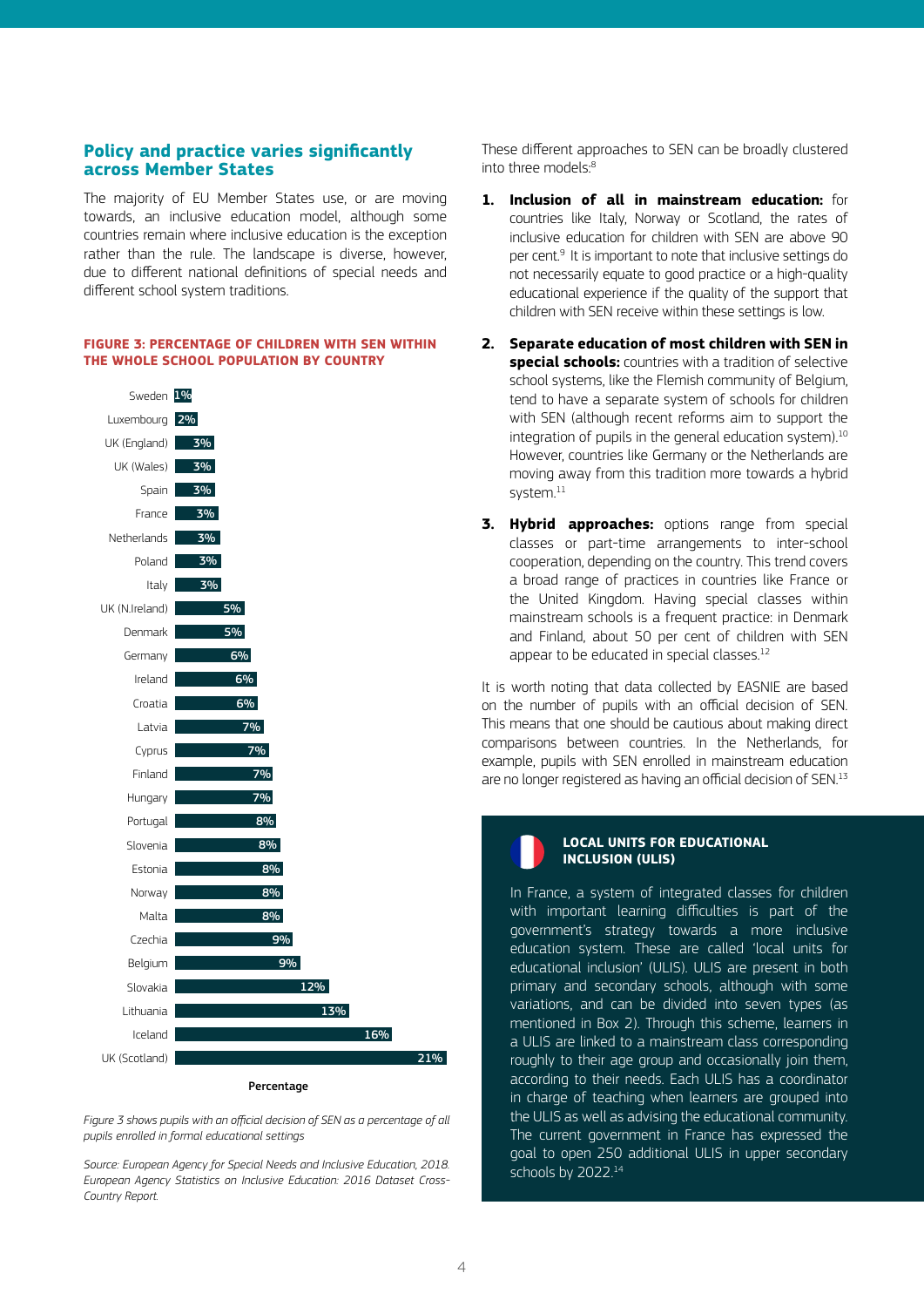# **Policy and practice varies significantly across Member States**

The majority of EU Member States use, or are moving towards, an inclusive education model, although some countries remain where inclusive education is the exception rather than the rule. The landscape is diverse, however, due to different national definitions of special needs and different school system traditions.

#### **FIGURE 3: PERCENTAGE OF CHILDREN WITH SEN WITHIN THE WHOLE SCHOOL POPULATION BY COUNTRY**



*Figure 3 shows pupils with an official decision of SEN as a percentage of all pupils enrolled in formal educational settings* 

*Source: European Agency for Special Needs and Inclusive Education, 2018. European Agency Statistics on Inclusive Education: 2016 Dataset Cross-Country Report.*

These different approaches to SEN can be broadly clustered into three models:8

- **1. Inclusion of all in mainstream education:** for countries like Italy, Norway or Scotland, the rates of inclusive education for children with SEN are above 90 per cent.9 It is important to note that inclusive settings do not necessarily equate to good practice or a high-quality educational experience if the quality of the support that children with SEN receive within these settings is low.
- **2. Separate education of most children with SEN in special schools:** countries with a tradition of selective school systems, like the Flemish community of Belgium, tend to have a separate system of schools for children with SEN (although recent reforms aim to support the integration of pupils in the general education system).<sup>10</sup> However, countries like Germany or the Netherlands are moving away from this tradition more towards a hybrid system.<sup>11</sup>
- **3. Hybrid approaches:** options range from special classes or part-time arrangements to inter-school cooperation, depending on the country. This trend covers a broad range of practices in countries like France or the United Kingdom. Having special classes within mainstream schools is a frequent practice: in Denmark and Finland, about 50 per cent of children with SEN appear to be educated in special classes.<sup>12</sup>

It is worth noting that data collected by EASNIE are based on the number of pupils with an official decision of SEN. This means that one should be cautious about making direct comparisons between countries. In the Netherlands, for example, pupils with SEN enrolled in mainstream education are no longer registered as having an official decision of SEN.<sup>13</sup>



## **LOCAL UNITS FOR EDUCATIONAL INCLUSION (ULIS)**

In France, a system of integrated classes for children with important learning difficulties is part of the government's strategy towards a more inclusive education system. These are called 'local units for educational inclusion' (ULIS). ULIS are present in both primary and secondary schools, although with some variations, and can be divided into seven types (as mentioned in Box 2). Through this scheme, learners in a ULIS are linked to a mainstream class corresponding roughly to their age group and occasionally join them, according to their needs. Each ULIS has a coordinator in charge of teaching when learners are grouped into the ULIS as well as advising the educational community. The current government in France has expressed the goal to open 250 additional ULIS in upper secondary schools by 2022.<sup>14</sup>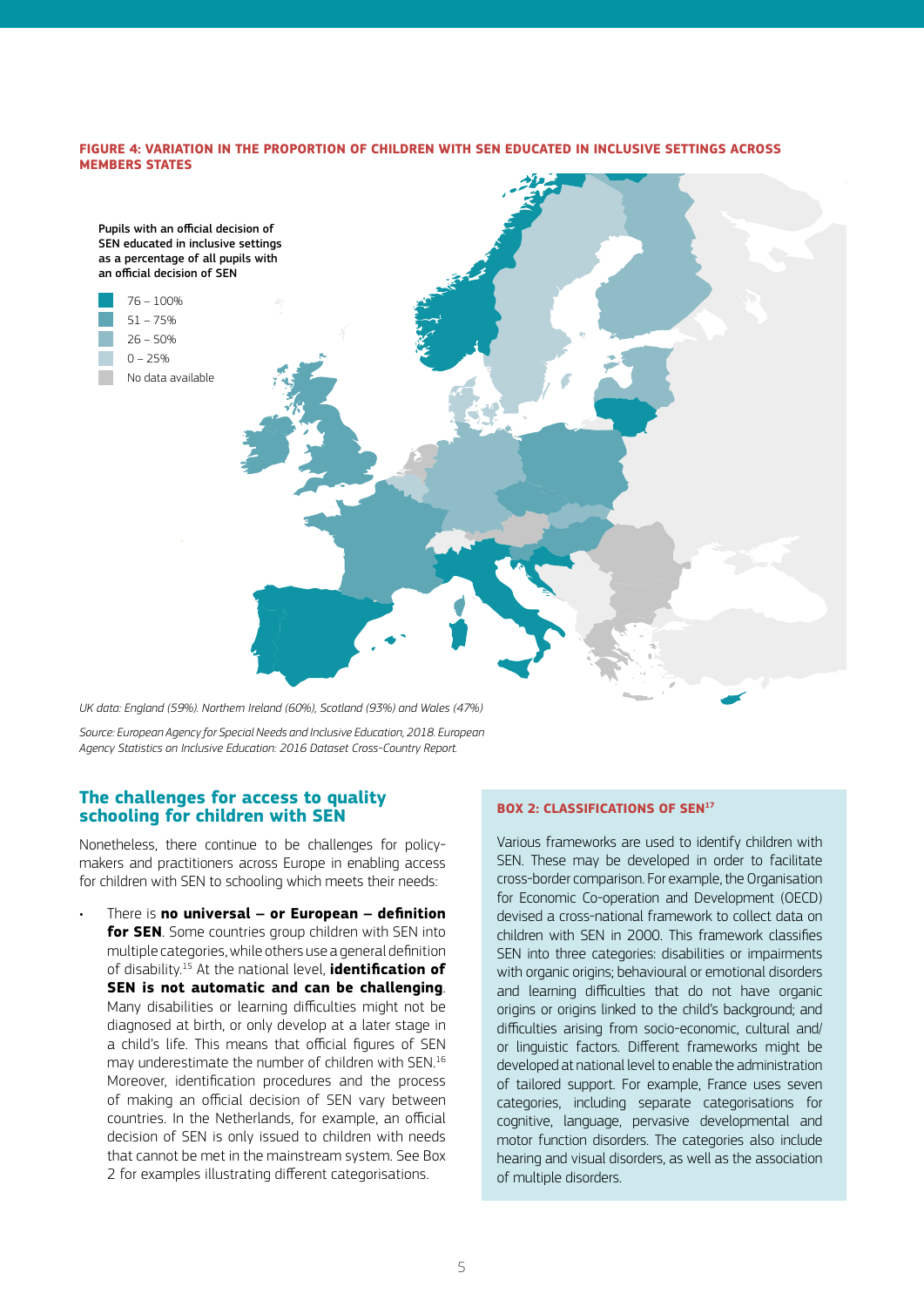#### **FIGURE 4: VARIATION IN THE PROPORTION OF CHILDREN WITH SEN EDUCATED IN INCLUSIVE SETTINGS ACROSS MEMBERS STATES**



*UK data: England (59%). Northern Ireland (60%), Scotland (93%) and Wales (47%)*

*Source: European Agency for Special Needs and Inclusive Education, 2018. European Agency Statistics on Inclusive Education: 2016 Dataset Cross-Country Report.*

# **The challenges for access to quality schooling for children with SEN**

Nonetheless, there continue to be challenges for policymakers and practitioners across Europe in enabling access for children with SEN to schooling which meets their needs:

• There is **no universal – or European – definition for SEN**. Some countries group children with SEN into multiple categories, while others use a general definition of disability.15 At the national level, **identification of SEN is not automatic and can be challenging**. Many disabilities or learning difficulties might not be diagnosed at birth, or only develop at a later stage in a child's life. This means that official figures of SEN may underestimate the number of children with SEN.16 Moreover, identification procedures and the process of making an official decision of SEN vary between countries. In the Netherlands, for example, an official decision of SEN is only issued to children with needs that cannot be met in the mainstream system. See Box 2 for examples illustrating different categorisations.

## **BOX 2: CLASSIFICATIONS OF SEN<sup>17</sup>**

Various frameworks are used to identify children with SEN. These may be developed in order to facilitate cross-border comparison. For example, the Organisation for Economic Co-operation and Development (OECD) devised a cross-national framework to collect data on children with SEN in 2000. This framework classifies SEN into three categories: disabilities or impairments with organic origins; behavioural or emotional disorders and learning difficulties that do not have organic origins or origins linked to the child's background; and difficulties arising from socio-economic, cultural and/ or linguistic factors. Different frameworks might be developed at national level to enable the administration of tailored support. For example, France uses seven categories, including separate categorisations for cognitive, language, pervasive developmental and motor function disorders. The categories also include hearing and visual disorders, as well as the association of multiple disorders.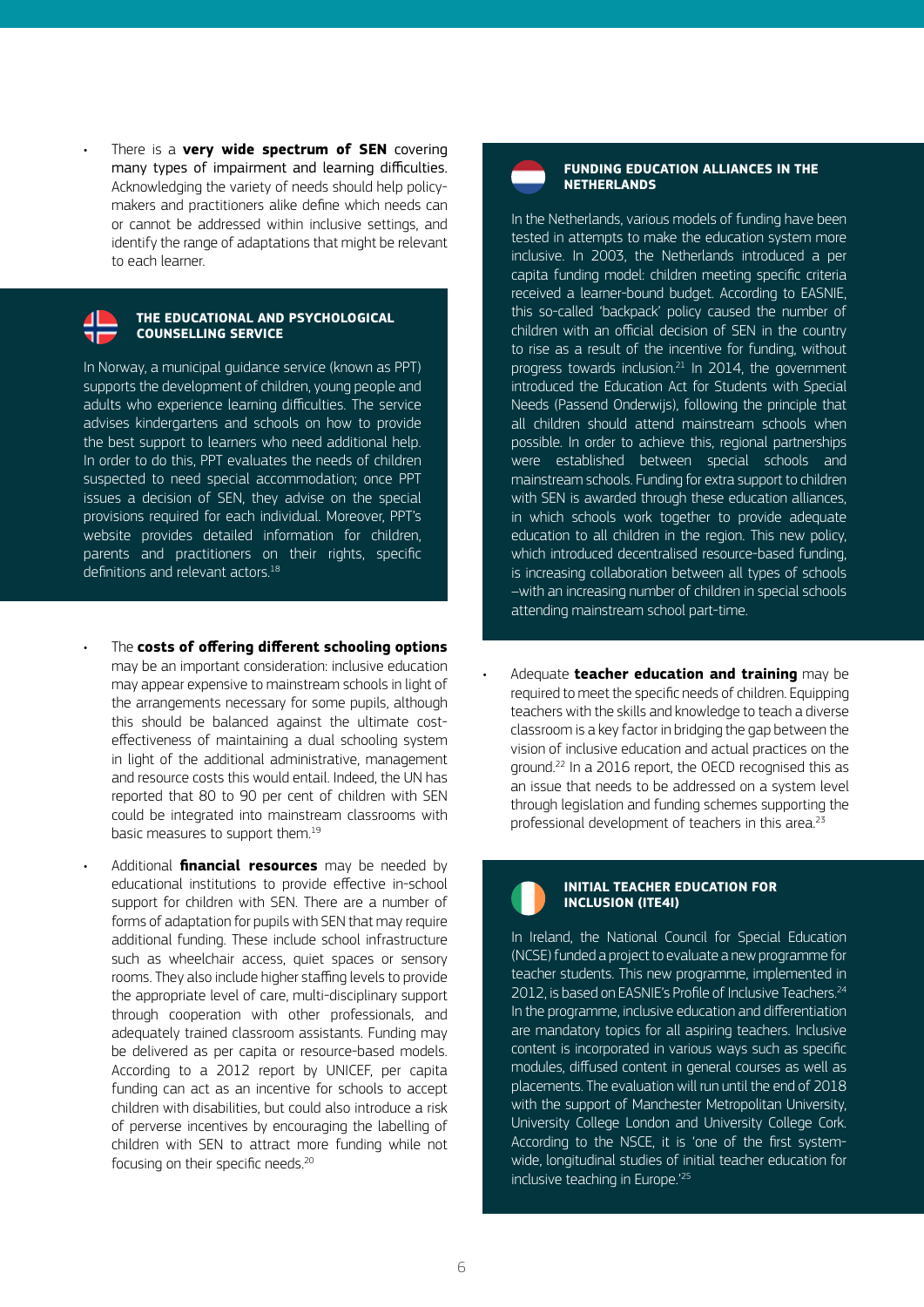There is a **very wide spectrum of SEN** covering many types of impairment and learning difficulties. Acknowledging the variety of needs should help policymakers and practitioners alike define which needs can or cannot be addressed within inclusive settings, and identify the range of adaptations that might be relevant to each learner.

### **THE EDUCATIONAL AND PSYCHOLOGICAL COUNSELLING SERVICE**

In Norway, a municipal guidance service (known as PPT) supports the development of children, young people and adults who experience learning difficulties. The service advises kindergartens and schools on how to provide the best support to learners who need additional help. In order to do this, PPT evaluates the needs of children suspected to need special accommodation; once PPT issues a decision of SEN, they advise on the special provisions required for each individual. Moreover, PPT's website provides detailed information for children, parents and practitioners on their rights, specific definitions and relevant actors.<sup>18</sup>

- The **costs of offering different schooling options** may be an important consideration: inclusive education may appear expensive to mainstream schools in light of the arrangements necessary for some pupils, although this should be balanced against the ultimate costeffectiveness of maintaining a dual schooling system in light of the additional administrative, management and resource costs this would entail. Indeed, the UN has reported that 80 to 90 per cent of children with SEN could be integrated into mainstream classrooms with basic measures to support them.<sup>19</sup>
- Additional **financial resources** may be needed by educational institutions to provide effective in-school support for children with SEN. There are a number of forms of adaptation for pupils with SEN that may require additional funding. These include school infrastructure such as wheelchair access, quiet spaces or sensory rooms. They also include higher staffing levels to provide the appropriate level of care, multi-disciplinary support through cooperation with other professionals, and adequately trained classroom assistants. Funding may be delivered as per capita or resource-based models. According to a 2012 report by UNICEF, per capita funding can act as an incentive for schools to accept children with disabilities, but could also introduce a risk of perverse incentives by encouraging the labelling of children with SEN to attract more funding while not focusing on their specific needs.<sup>20</sup>

#### **FUNDING EDUCATION ALLIANCES IN THE NETHERLANDS**

In the Netherlands, various models of funding have been tested in attempts to make the education system more inclusive. In 2003, the Netherlands introduced a per capita funding model: children meeting specific criteria received a learner-bound budget. According to EASNIE, this so-called 'backpack' policy caused the number of children with an official decision of SEN in the country to rise as a result of the incentive for funding, without progress towards inclusion.<sup>21</sup> In 2014, the government introduced the Education Act for Students with Special Needs (Passend Onderwijs), following the principle that all children should attend mainstream schools when possible. In order to achieve this, regional partnerships were established between special schools and mainstream schools. Funding for extra support to children with SEN is awarded through these education alliances, in which schools work together to provide adequate education to all children in the region. This new policy, which introduced decentralised resource-based funding, is increasing collaboration between all types of schools –with an increasing number of children in special schools attending mainstream school part-time.

- Adequate **teacher education and training** may be required to meet the specific needs of children. Equipping teachers with the skills and knowledge to teach a diverse classroom is a key factor in bridging the gap between the vision of inclusive education and actual practices on the ground.22 In a 2016 report, the OECD recognised this as an issue that needs to be addressed on a system level through legislation and funding schemes supporting the professional development of teachers in this area.<sup>23</sup>
	-

## **INITIAL TEACHER EDUCATION FOR INCLUSION (ITE4I)**

In Ireland, the National Council for Special Education (NCSE) funded a project to evaluate a new programme for teacher students. This new programme, implemented in 2012, is based on EASNIE's Profile of Inclusive Teachers.<sup>24</sup> In the programme, inclusive education and differentiation are mandatory topics for all aspiring teachers. Inclusive content is incorporated in various ways such as specific modules, diffused content in general courses as well as placements. The evaluation will run until the end of 2018 with the support of Manchester Metropolitan University, University College London and University College Cork. According to the NSCE, it is 'one of the first systemwide, longitudinal studies of initial teacher education for inclusive teaching in Europe.'25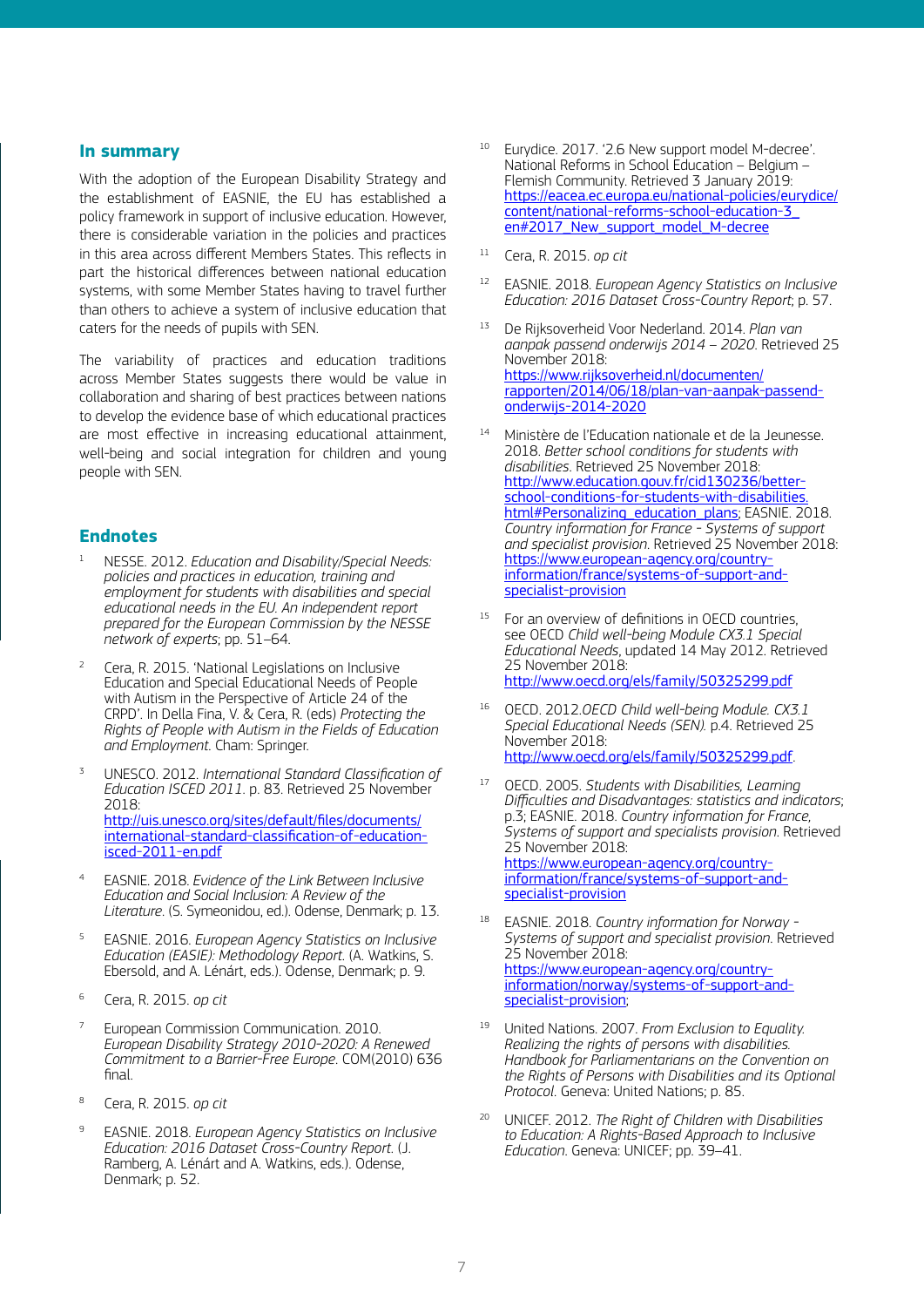## **In summary**

With the adoption of the European Disability Strategy and the establishment of EASNIE, the EU has established a policy framework in support of inclusive education. However, there is considerable variation in the policies and practices in this area across different Members States. This reflects in part the historical differences between national education systems, with some Member States having to travel further than others to achieve a system of inclusive education that caters for the needs of pupils with SEN.

The variability of practices and education traditions across Member States suggests there would be value in collaboration and sharing of best practices between nations to develop the evidence base of which educational practices are most effective in increasing educational attainment, well-being and social integration for children and young people with SEN.

# **Endnotes**

- <sup>1</sup> NESSE. 2012. *Education and Disability/Special Needs: policies and practices in education, training and employment for students with disabilities and special educational needs in the EU. An independent report prepared for the European Commission by the NESSE network of experts*; pp. 51–64.
- <sup>2</sup> Cera, R. 2015. 'National Legislations on Inclusive Education and Special Educational Needs of People with Autism in the Perspective of Article 24 of the CRPD'. In Della Fina, V. & Cera, R. (eds) *Protecting the Rights of People with Autism in the Fields of Education and Employment*. Cham: Springer.
- <sup>3</sup> UNESCO. 2012. *International Standard Classification of Education ISCED 2011*. p. 83. Retrieved 25 November 2018: http://uis.unesco.org/sites/default/files/documents/ international-standard-classification-of-educationisced-2011-en.pdf
- <sup>4</sup> EASNIE. 2018. *Evidence of the Link Between Inclusive Education and Social Inclusion: A Review of the Literature*. (S. Symeonidou, ed.). Odense, Denmark; p. 13.
- <sup>5</sup> EASNIE. 2016. *European Agency Statistics on Inclusive Education (EASIE): Methodology Report*. (A. Watkins, S. Ebersold, and A. Lénárt, eds.). Odense, Denmark; p. 9.
- <sup>6</sup> Cera, R. 2015. *op cit*
- <sup>7</sup> European Commission Communication. 2010. *European Disability Strategy 2010-2020: A Renewed Commitment to a Barrier-Free Europe*. COM(2010) 636 final.
- <sup>8</sup> Cera, R. 2015. *op cit*
- <sup>9</sup> EASNIE. 2018. *European Agency Statistics on Inclusive Education: 2016 Dataset Cross-Country Report*. (J. Ramberg, A. Lénárt and A. Watkins, eds.). Odense, Denmark; p. 52.
- <sup>10</sup> Eurydice. 2017. '2.6 New support model M-decree'. National Reforms in School Education – Belgium – Flemish Community. Retrieved 3 January 2019: https://eacea.ec.europa.eu/national-policies/eurydice/ content/national-reforms-school-education-3\_ en#2017\_New\_support\_model\_M-decree
- <sup>11</sup> Cera, R. 2015. *op cit*
- <sup>12</sup> EASNIE. 2018. *European Agency Statistics on Inclusive Education: 2016 Dataset Cross-Country Report*; p. 57.
- <sup>13</sup> De Rijksoverheid Voor Nederland. 2014. *Plan van aanpak passend onderwijs 2014 – 2020*. Retrieved 25 November 2018: https://www.rijksoverheid.nl/documenten/ rapporten/2014/06/18/plan-van-aanpak-passendonderwijs-2014-2020
- <sup>14</sup> Ministère de l'Education nationale et de la Jeunesse. 2018. *Better school conditions for students with disabilities*. Retrieved 25 November 2018: http://www.education.gouv.fr/cid130236/betterschool-conditions-for-students-with-disabilities. html#Personalizing\_education\_plans; EASNIE. 2018. *Country information for France - Systems of support and specialist provision*. Retrieved 25 November 2018: https://www.european-agency.org/countryinformation/france/systems-of-support-andspecialist-provision
- <sup>15</sup> For an overview of definitions in OECD countries, see OECD *Child well-being Module CX3.1 Special Educational Needs*, updated 14 May 2012. Retrieved 25 November 2018: http://www.oecd.org/els/family/50325299.pdf
- <sup>16</sup> OECD. 2012.*OECD Child well-being Module. CX3.1 Special Educational Needs (SEN).* p.4. Retrieved 25 November 2018: http://www.oecd.org/els/family/50325299.pdf.
- <sup>17</sup> OECD. 2005. *Students with Disabilities, Learning Difficulties and Disadvantages: statistics and indicators*; p.3; EASNIE. 2018. *Country information for France, Systems of support and specialists provision*. Retrieved 25 November 2018: https://www.european-agency.org/countryinformation/france/systems-of-support-andspecialist-provision
- <sup>18</sup> EASNIE. 2018. *Country information for Norway Systems of support and specialist provision*. Retrieved 25 November 2018: https://www.european-agency.org/countryinformation/norway/systems-of-support-andspecialist-provision;
- <sup>19</sup> United Nations. 2007. *From Exclusion to Equality. Realizing the rights of persons with disabilities. Handbook for Parliamentarians on the Convention on the Rights of Persons with Disabilities and its Optional Protocol*. Geneva: United Nations; p. 85.
- <sup>20</sup> UNICEF. 2012. *The Right of Children with Disabilities to Education: A Rights-Based Approach to Inclusive Education*. Geneva: UNICEF; pp. 39–41.